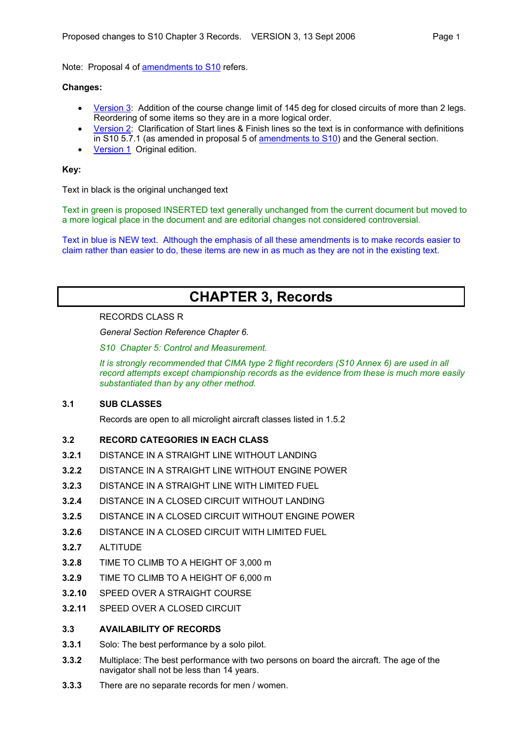Note: Proposal 4 of [amendments to S10](http://www.flymicro.com/cima06) refers.

## **Changes:**

- [Version 3](http://www.flymicro.com/cima06/proposed_S10_ch3_v3.pdf): Addition of the course change limit of 145 deg for closed circuits of more than 2 legs. Reordering of some items so they are in a more logical order.
- [Version 2](http://www.flymicro.com/cima06/proposed_S10_ch3_v2.pdf): Clarification of Start lines & Finish lines so the text is in conformance with definitions in S10 5.7.1 (as amended in proposal 5 of [amendments to S10\)](http://www.flymicro.com/cima06) and the General section.
- [Version 1](http://www.flymicro.com/cima06/proposed_S10_ch3_v1.pdf) Original edition.

# **Key:**

Text in black is the original unchanged text

Text in green is proposed INSERTED text generally unchanged from the current document but moved to a more logical place in the document and are editorial changes not considered controversial.

Text in blue is NEW text. Although the emphasis of all these amendments is to make records easier to claim rather than easier to do, these items are new in as much as they are not in the existing text.

# **CHAPTER 3, Records**

## RECORDS CLASS R

*General Section Reference Chapter 6.* 

*S10 Chapter 5: Control and Measurement.* 

*It is strongly recommended that CIMA type 2 flight recorders (S10 Annex 6) are used in all record attempts except championship records as the evidence from these is much more easily substantiated than by any other method.* 

## **3.1 SUB CLASSES**

Records are open to all microlight aircraft classes listed in 1.5.2

# **3.2 RECORD CATEGORIES IN EACH CLASS**

- **3.2.1** DISTANCE IN A STRAIGHT LINE WITHOUT LANDING
- **3.2.2** DISTANCE IN A STRAIGHT LINE WITHOUT ENGINE POWER
- **3.2.3** DISTANCE IN A STRAIGHT LINE WITH LIMITED FUEL
- **3.2.4** DISTANCE IN A CLOSED CIRCUIT WITHOUT LANDING
- **3.2.5** DISTANCE IN A CLOSED CIRCUIT WITHOUT ENGINE POWER
- **3.2.6** DISTANCE IN A CLOSED CIRCUIT WITH LIMITED FUEL
- **3.2.7** ALTITUDE
- **3.2.8** TIME TO CLIMB TO A HEIGHT OF 3,000 m
- **3.2.9** TIME TO CLIMB TO A HEIGHT OF 6,000 m
- **3.2.10** SPEED OVER A STRAIGHT COURSE
- **3.2.11** SPEED OVER A CLOSED CIRCUIT

## **3.3 AVAILABILITY OF RECORDS**

- **3.3.1** Solo: The best performance by a solo pilot.
- **3.3.2** Multiplace: The best performance with two persons on board the aircraft. The age of the navigator shall not be less than 14 years.
- **3.3.3** There are no separate records for men / women.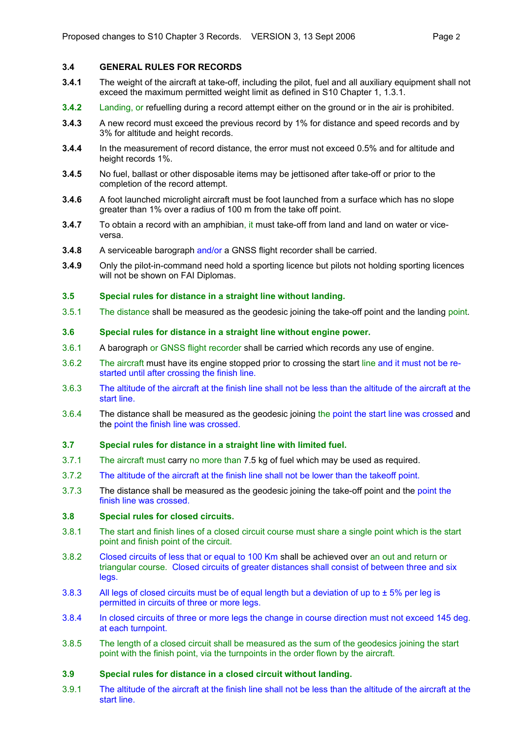# **3.4 GENERAL RULES FOR RECORDS**

- **3.4.1** The weight of the aircraft at take-off, including the pilot, fuel and all auxiliary equipment shall not exceed the maximum permitted weight limit as defined in S10 Chapter 1, 1.3.1.
- **3.4.2** Landing, or refuelling during a record attempt either on the ground or in the air is prohibited.
- **3.4.3** A new record must exceed the previous record by 1% for distance and speed records and by 3% for altitude and height records.
- **3.4.4** In the measurement of record distance, the error must not exceed 0.5% and for altitude and height records 1%.
- **3.4.5** No fuel, ballast or other disposable items may be jettisoned after take-off or prior to the completion of the record attempt.
- **3.4.6** A foot launched microlight aircraft must be foot launched from a surface which has no slope greater than 1% over a radius of 100 m from the take off point.
- **3.4.7** To obtain a record with an amphibian, it must take-off from land and land on water or viceversa.
- **3.4.8** A serviceable barograph and/or a GNSS flight recorder shall be carried.
- **3.4.9** Only the pilot-in-command need hold a sporting licence but pilots not holding sporting licences will not be shown on FAI Diplomas.

## **3.5 Special rules for distance in a straight line without landing.**

3.5.1 The distance shall be measured as the geodesic joining the take-off point and the landing point.

## **3.6 Special rules for distance in a straight line without engine power.**

- 3.6.1 A barograph or GNSS flight recorder shall be carried which records any use of engine.
- 3.6.2 The aircraft must have its engine stopped prior to crossing the start line and it must not be restarted until after crossing the finish line.
- 3.6.3 The altitude of the aircraft at the finish line shall not be less than the altitude of the aircraft at the start line.
- 3.6.4 The distance shall be measured as the geodesic joining the point the start line was crossed and the point the finish line was crossed.

#### **3.7 Special rules for distance in a straight line with limited fuel.**

- 3.7.1 The aircraft must carry no more than 7.5 kg of fuel which may be used as required.
- 3.7.2 The altitude of the aircraft at the finish line shall not be lower than the takeoff point.
- 3.7.3 The distance shall be measured as the geodesic joining the take-off point and the point the finish line was crossed.

## **3.8 Special rules for closed circuits.**

- 3.8.1 The start and finish lines of a closed circuit course must share a single point which is the start point and finish point of the circuit.
- 3.8.2 Closed circuits of less that or equal to 100 Km shall be achieved over an out and return or triangular course. Closed circuits of greater distances shall consist of between three and six legs.
- 3.8.3 All legs of closed circuits must be of equal length but a deviation of up to  $\pm$  5% per leg is permitted in circuits of three or more legs.
- 3.8.4 In closed circuits of three or more legs the change in course direction must not exceed 145 deg. at each turnpoint.
- 3.8.5 The length of a closed circuit shall be measured as the sum of the geodesics joining the start point with the finish point, via the turnpoints in the order flown by the aircraft.

## **3.9 Special rules for distance in a closed circuit without landing.**

3.9.1 The altitude of the aircraft at the finish line shall not be less than the altitude of the aircraft at the start line.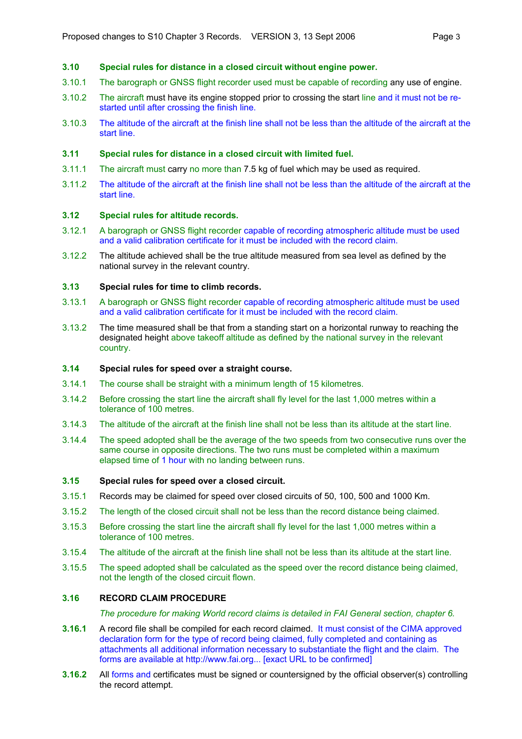## **3.10 Special rules for distance in a closed circuit without engine power.**

- 3.10.1 The barograph or GNSS flight recorder used must be capable of recording any use of engine.
- 3.10.2 The aircraft must have its engine stopped prior to crossing the start line and it must not be restarted until after crossing the finish line.
- 3.10.3 The altitude of the aircraft at the finish line shall not be less than the altitude of the aircraft at the start line.

#### **3.11 Special rules for distance in a closed circuit with limited fuel.**

- 3.11.1 The aircraft must carry no more than 7.5 kg of fuel which may be used as required.
- 3.11.2 The altitude of the aircraft at the finish line shall not be less than the altitude of the aircraft at the start line.

#### **3.12 Special rules for altitude records.**

- 3.12.1 A barograph or GNSS flight recorder capable of recording atmospheric altitude must be used and a valid calibration certificate for it must be included with the record claim.
- 3.12.2 The altitude achieved shall be the true altitude measured from sea level as defined by the national survey in the relevant country.

## **3.13 Special rules for time to climb records.**

- 3.13.1 A barograph or GNSS flight recorder capable of recording atmospheric altitude must be used and a valid calibration certificate for it must be included with the record claim.
- 3.13.2 The time measured shall be that from a standing start on a horizontal runway to reaching the designated height above takeoff altitude as defined by the national survey in the relevant country.

## **3.14 Special rules for speed over a straight course.**

- 3.14.1 The course shall be straight with a minimum length of 15 kilometres.
- 3.14.2 Before crossing the start line the aircraft shall fly level for the last 1,000 metres within a tolerance of 100 metres.
- 3.14.3 The altitude of the aircraft at the finish line shall not be less than its altitude at the start line.
- 3.14.4 The speed adopted shall be the average of the two speeds from two consecutive runs over the same course in opposite directions. The two runs must be completed within a maximum elapsed time of 1 hour with no landing between runs.

#### **3.15 Special rules for speed over a closed circuit.**

- 3.15.1 Records may be claimed for speed over closed circuits of 50, 100, 500 and 1000 Km.
- 3.15.2 The length of the closed circuit shall not be less than the record distance being claimed.
- 3.15.3 Before crossing the start line the aircraft shall fly level for the last 1,000 metres within a tolerance of 100 metres.
- 3.15.4 The altitude of the aircraft at the finish line shall not be less than its altitude at the start line.
- 3.15.5 The speed adopted shall be calculated as the speed over the record distance being claimed, not the length of the closed circuit flown.

## **3.16 RECORD CLAIM PROCEDURE**

*The procedure for making World record claims is detailed in FAI General section, chapter 6.* 

- **3.16.1** A record file shall be compiled for each record claimed. It must consist of the CIMA approved declaration form for the type of record being claimed, fully completed and containing as attachments all additional information necessary to substantiate the flight and the claim. The forms are available at http://www.fai.org... [exact URL to be confirmed]
- **3.16.2** All forms and certificates must be signed or countersigned by the official observer(s) controlling the record attempt.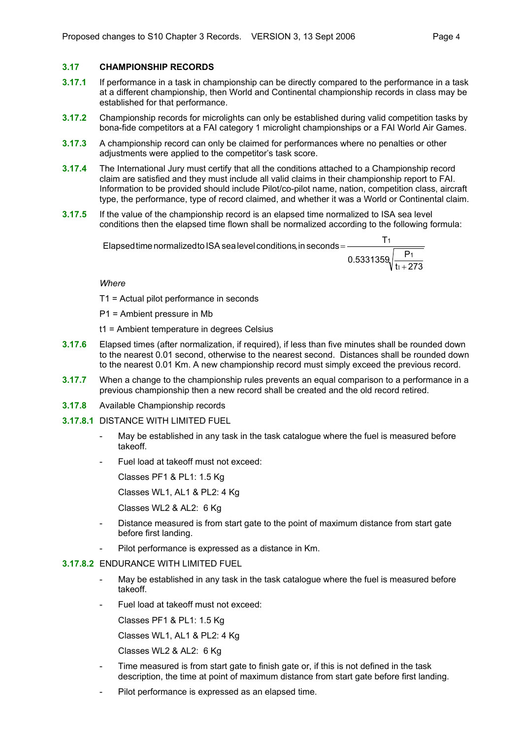# **3.17 CHAMPIONSHIP RECORDS**

- **3.17.1** If performance in a task in championship can be directly compared to the performance in a task at a different championship, then World and Continental championship records in class may be established for that performance.
- **3.17.2** Championship records for microlights can only be established during valid competition tasks by bona-fide competitors at a FAI category 1 microlight championships or a FAI World Air Games.
- **3.17.3** A championship record can only be claimed for performances where no penalties or other adjustments were applied to the competitor's task score.
- **3.17.4** The International Jury must certify that all the conditions attached to a Championship record claim are satisfied and they must include all valid claims in their championship report to FAI. Information to be provided should include Pilot/co-pilot name, nation, competition class, aircraft type, the performance, type of record claimed, and whether it was a World or Continental claim.
- **3.17.5** If the value of the championship record is an elapsed time normalized to ISA sea level conditions then the elapsed time flown shall be normalized according to the following formula:

 $\overline{\textsf{E}}$ lapsed time normalizedto ISA sea level conditions, in seconds =  $\overline{\textsf{E}}$ 

$$
\frac{11}{0.5331359 \sqrt{\frac{P_1}{t_1+273}}}
$$

 $T<sub>1</sub>$ 

*Where* 

T1 = Actual pilot performance in seconds

- P1 = Ambient pressure in Mb
- t1 = Ambient temperature in degrees Celsius
- **3.17.6** Elapsed times (after normalization, if required), if less than five minutes shall be rounded down to the nearest 0.01 second, otherwise to the nearest second. Distances shall be rounded down to the nearest 0.01 Km. A new championship record must simply exceed the previous record.
- **3.17.7** When a change to the championship rules prevents an equal comparison to a performance in a previous championship then a new record shall be created and the old record retired.
- **3.17.8** Available Championship records
- **3.17.8.1** DISTANCE WITH LIMITED FUEL
	- May be established in any task in the task catalogue where the fuel is measured before takeoff.
	- Fuel load at takeoff must not exceed:

Classes PF1 & PL1: 1.5 Kg

Classes WL1, AL1 & PL2: 4 Kg

Classes WL2 & AL2: 6 Kg

- Distance measured is from start gate to the point of maximum distance from start gate before first landing.
- Pilot performance is expressed as a distance in Km.

## **3.17.8.2** ENDURANCE WITH LIMITED FUEL

- May be established in any task in the task catalogue where the fuel is measured before takeoff.
- Fuel load at takeoff must not exceed:

Classes PF1 & PL1: 1.5 Kg

Classes WL1, AL1 & PL2: 4 Kg

Classes WL2 & AL2: 6 Kg

- Time measured is from start gate to finish gate or, if this is not defined in the task description, the time at point of maximum distance from start gate before first landing.
- Pilot performance is expressed as an elapsed time.